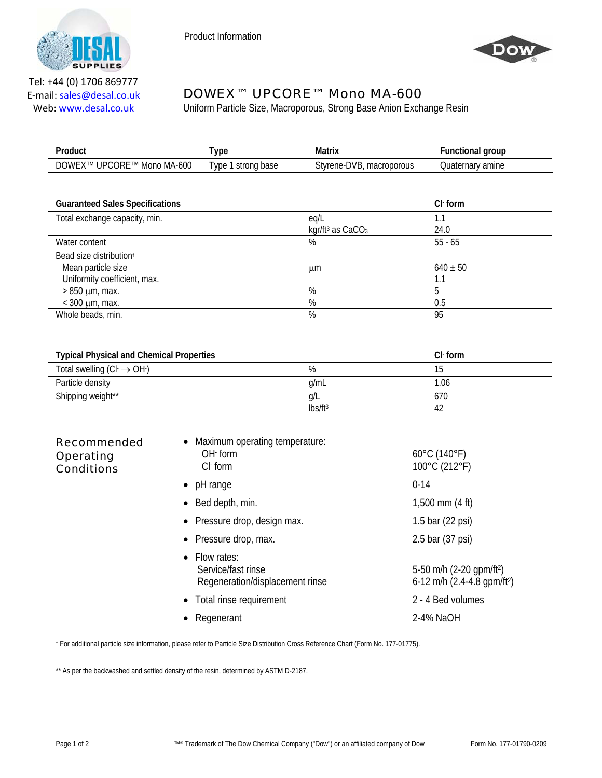

Product Information



Tel: +44 (0) 1706 869777 E‐mail: sales@desal.co.uk Web: www.desal.co.uk

## DOWEX™ UPCORE™ Mono MA-600

Uniform Particle Size, Macroporous, Strong Base Anion Exchange Resin

| Product                    | ype                                | Matrix                   | <b>Functional group</b> |
|----------------------------|------------------------------------|--------------------------|-------------------------|
| DOWEX™ UPCORE™ Mono MA-600 | Type <sup>1</sup><br>' strong base | Styrene-DVB, macroporous | Quaternarv amine        |
|                            |                                    |                          |                         |

| <b>Guaranteed Sales Specifications</b> |                                | $Cl$ form    |
|----------------------------------------|--------------------------------|--------------|
| Total exchange capacity, min.          | eq/L                           | 1.1          |
|                                        | kgr/ft <sup>3</sup> as $CaCO3$ | 24.0         |
| Water content                          | %                              | $55 - 65$    |
| Bead size distribution                 |                                |              |
| Mean particle size                     | μm                             | $640 \pm 50$ |
| Uniformity coefficient, max.           |                                | 1.1          |
| $>850 \mu m$ , max.                    | %                              | b            |
| $<$ 300 $\mu$ m, max.                  | %                              | 0.5          |
| Whole beads, min.                      | %                              | 95           |

| <b>Typical Physical and Chemical Properties</b> |                     | $Clf$ form |
|-------------------------------------------------|---------------------|------------|
| Total swelling $(Cl \rightarrow OH)$            | %                   |            |
| Particle density                                | a/mL                | 1.06       |
| Shipping weight**                               | Q/L                 | 670        |
|                                                 | lbs/ft <sup>3</sup> |            |

| <b>Recommended</b><br>Operating<br><b>Conditions</b> | • Maximum operating temperature:<br>$OH1$ form<br>$Cl-$ form           | $60^{\circ}$ C (140 $^{\circ}$ F)<br>100°C (212°F)                                |
|------------------------------------------------------|------------------------------------------------------------------------|-----------------------------------------------------------------------------------|
|                                                      | $\bullet$ pH range                                                     | $0 - 14$                                                                          |
|                                                      | $\bullet$ Bed depth, min.                                              | $1,500$ mm $(4 \text{ ft})$                                                       |
|                                                      | • Pressure drop, design max.                                           | 1.5 bar $(22 \text{ psi})$                                                        |
|                                                      | • Pressure drop, max.                                                  | 2.5 bar (37 psi)                                                                  |
|                                                      | • Flow rates:<br>Service/fast rinse<br>Regeneration/displacement rinse | 5-50 m/h (2-20 gpm/ft <sup>2</sup> )<br>6-12 m/h $(2.4-4.8$ gpm/ft <sup>2</sup> ) |
|                                                      | • Total rinse requirement                                              | 2 - 4 Bed volumes                                                                 |
|                                                      | • Regenerant                                                           | 2-4% NaOH                                                                         |

† For additional particle size information, please refer to Particle Size Distribution Cross Reference Chart (Form No. 177-01775).

\*\* As per the backwashed and settled density of the resin, determined by ASTM D-2187.